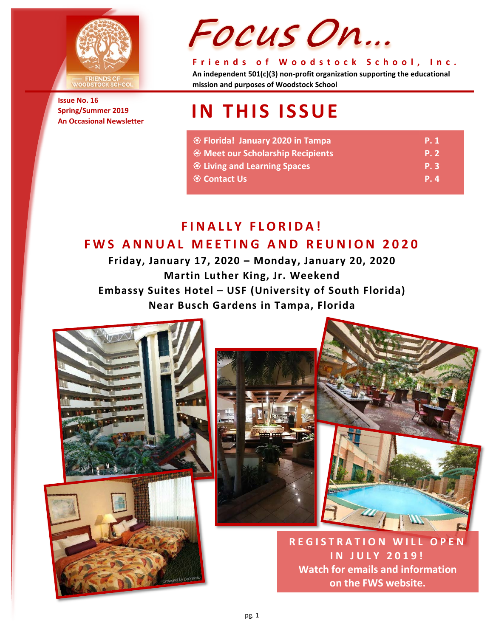

**Issue No. 16 Spring/Summer 2019 An Occasional Newsletter**

# Focus On...

**Friends of Woodstock School, Inc. An independent 501(c)(3) non-profit organization supporting the educational mission and purposes of Woodstock School**

## **IN THIS ISSUE**

| <sup>④</sup> Florida! January 2020 in Tampa    | <b>P.1</b> |
|------------------------------------------------|------------|
| <b>EXAMUSE Meet our Scholarship Recipients</b> | <b>P.2</b> |
| <b>&amp; Living and Learning Spaces</b>        | <b>P.3</b> |
| <sup>⊗</sup> Contact Us                        | P. 4       |

#### **FINALLY FLORIDA! FWS ANNUAL MEETING AND REUNION 2020**

**Friday, January 17, 2020 – Monday, January 20, 2020 Martin Luther King, Jr. Weekend Embassy Suites Hotel – USF (University of South Florida) Near Busch Gardens in Tampa, Florida**







**REGISTRATION WILL OPEN IN JULY 20 1 9 ! Watch for emails and information on the FWS website.**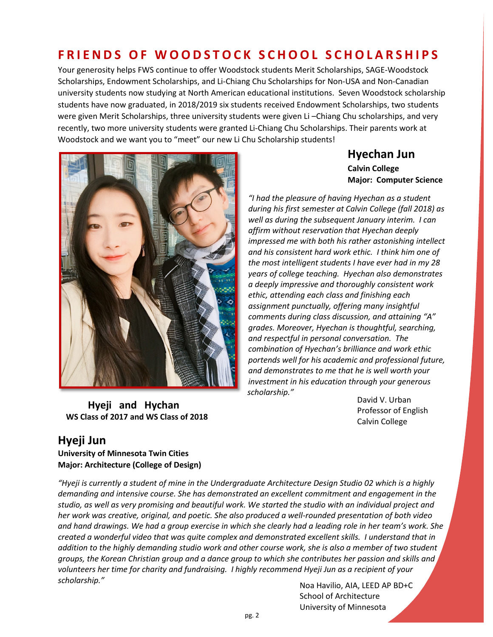### **FRIENDS OF WOODSTOCK SCHOOL SCHOLARSHIP S**

Your generosity helps FWS continue to offer Woodstock students Merit Scholarships, SAGE-Woodstock Scholarships, Endowment Scholarships, and Li-Chiang Chu Scholarships for Non-USA and Non-Canadian university students now studying at North American educational institutions. Seven Woodstock scholarship students have now graduated, in 2018/2019 six students received Endowment Scholarships, two students were given Merit Scholarships, three university students were given Li –Chiang Chu scholarships, and very recently, two more university students were granted Li-Chiang Chu Scholarships. Their parents work at Woodstock and we want you to "meet" our new Li Chu Scholarship students!



#### **Hyechan Jun Calvin College Major: Computer Science**

*"I had the pleasure of having Hyechan as a student during his first semester at Calvin College (fall 2018) as well as during the subsequent January interim. I can affirm without reservation that Hyechan deeply impressed me with both his rather astonishing intellect and his consistent hard work ethic. I think him one of the most intelligent students I have ever had in my 28 years of college teaching. Hyechan also demonstrates a deeply impressive and thoroughly consistent work ethic, attending each class and finishing each assignment punctually, offering many insightful comments during class discussion, and attaining "A" grades. Moreover, Hyechan is thoughtful, searching, and respectful in personal conversation. The combination of Hyechan's brilliance and work ethic portends well for his academic and professional future, and demonstrates to me that he is well worth your investment in his education through your generous scholarship."*

**Hyeji and Hychan WS Class of 2017 and WS Class of 2018**

David V. Urban Professor of English Calvin College

#### **Hyeji Jun**

**University of Minnesota Twin Cities Major: Architecture (College of Design)**

*"Hyeji is currently a student of mine in the Undergraduate Architecture Design Studio 02 which is a highly demanding and intensive course. She has demonstrated an excellent commitment and engagement in the studio, as well as very promising and beautiful work. We started the studio with an individual project and her work was creative, original, and poetic. She also produced a well-rounded presentation of both video and hand drawings. We had a group exercise in which she clearly had a leading role in her team's work. She created a wonderful video that was quite complex and demonstrated excellent skills. I understand that in addition to the highly demanding studio work and other course work, she is also a member of two student groups, the Korean Christian group and a dance group to which she contributes her passion and skills and volunteers her time for charity and fundraising. I highly recommend Hyeji Jun as a recipient of your scholarship."*

Noa Havilio, AIA, LEED AP BD+C School of Architecture University of Minnesota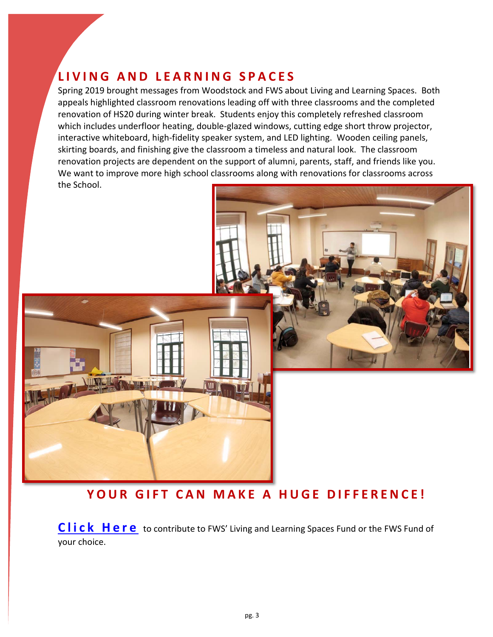## **LIVING AND LEARNING SPACES**

Spring 2019 brought messages from Woodstock and FWS about Living and Learning Spaces. Both appeals highlighted classroom renovations leading off with three classrooms and the completed renovation of HS20 during winter break. Students enjoy this completely refreshed classroom which includes underfloor heating, double-glazed windows, cutting edge short throw projector, interactive whiteboard, high-fidelity speaker system, and LED lighting. Wooden ceiling panels, skirting boards, and finishing give the classroom a timeless and natural look. The classroom renovation projects are dependent on the support of alumni, parents, staff, and friends like you. We want to improve more high school classrooms along with renovations for classrooms across the School.



#### **YOUR GIFT CAN MAKE A HUGE DIFFERENCE!**

**[Click Here](http://www.fwsfoundation.org/index.php/get-involved/donate)** to contribute to FWS' Living and Learning Spaces Fund or the FWS Fund of your choice.